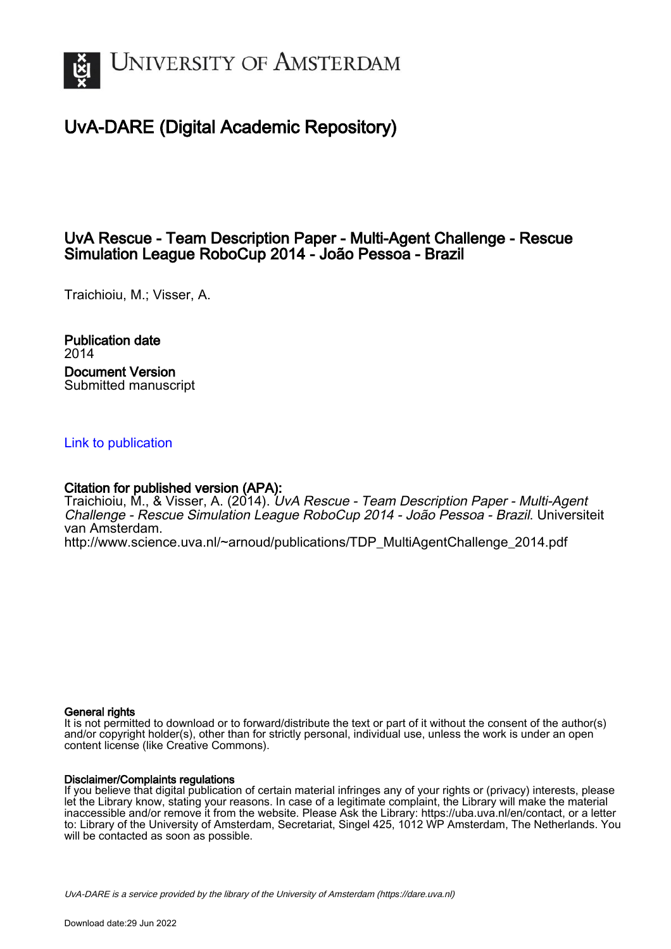

# UvA-DARE (Digital Academic Repository)

## UvA Rescue - Team Description Paper - Multi-Agent Challenge - Rescue Simulation League RoboCup 2014 - João Pessoa - Brazil

Traichioiu, M.; Visser, A.

Publication date 2014 Document Version Submitted manuscript

## [Link to publication](https://dare.uva.nl/personal/pure/en/publications/uva-rescue--team-description-paper--multiagent-challenge--rescue-simulation-league-robocup-2014--joao-pessoa--brazil(b5531c6a-9ceb-456d-8f13-573353f13345).html)

## Citation for published version (APA):

Traichioiu, M., & Visser, A. (2014). UvA Rescue - Team Description Paper - Multi-Agent Challenge - Rescue Simulation League RoboCup 2014 - João Pessoa - Brazil. Universiteit van Amsterdam.

[http://www.science.uva.nl/~arnoud/publications/TDP\\_MultiAgentChallenge\\_2014.pdf](http://www.science.uva.nl/~arnoud/publications/TDP_MultiAgentChallenge_2014.pdf)

## General rights

It is not permitted to download or to forward/distribute the text or part of it without the consent of the author(s) and/or copyright holder(s), other than for strictly personal, individual use, unless the work is under an open content license (like Creative Commons).

## Disclaimer/Complaints regulations

If you believe that digital publication of certain material infringes any of your rights or (privacy) interests, please let the Library know, stating your reasons. In case of a legitimate complaint, the Library will make the material inaccessible and/or remove it from the website. Please Ask the Library: https://uba.uva.nl/en/contact, or a letter to: Library of the University of Amsterdam, Secretariat, Singel 425, 1012 WP Amsterdam, The Netherlands. You will be contacted as soon as possible.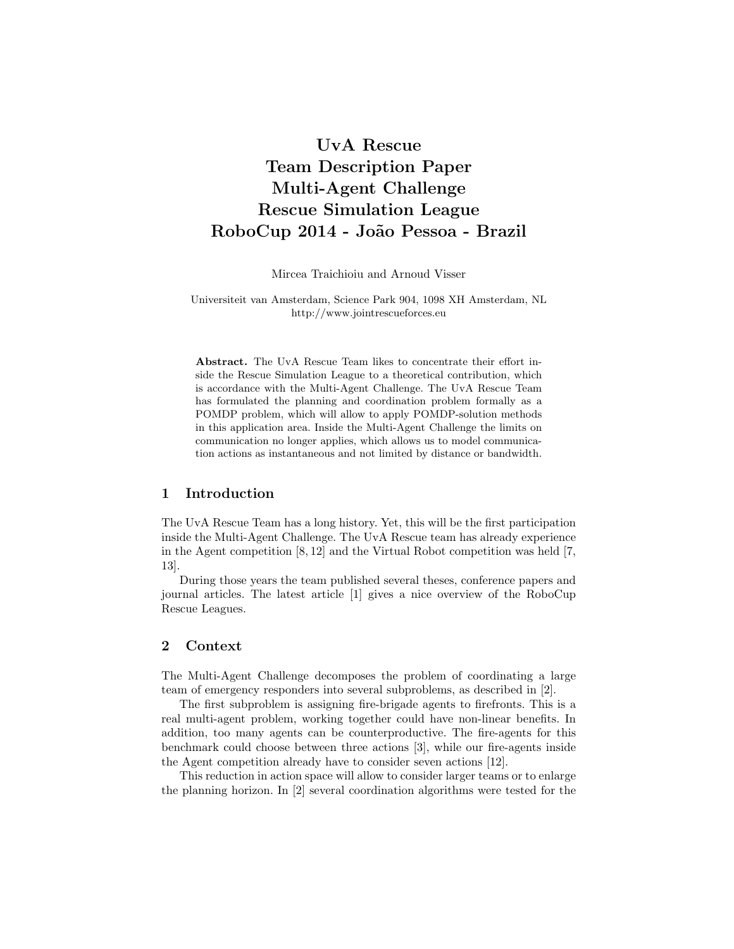# UvA Rescue Team Description Paper Multi-Agent Challenge Rescue Simulation League RoboCup 2014 - Jo˜ao Pessoa - Brazil

Mircea Traichioiu and Arnoud Visser

#### Universiteit van Amsterdam, Science Park 904, 1098 XH Amsterdam, NL http://www.jointrescueforces.eu

Abstract. The UvA Rescue Team likes to concentrate their effort inside the Rescue Simulation League to a theoretical contribution, which is accordance with the Multi-Agent Challenge. The UvA Rescue Team has formulated the planning and coordination problem formally as a POMDP problem, which will allow to apply POMDP-solution methods in this application area. Inside the Multi-Agent Challenge the limits on communication no longer applies, which allows us to model communication actions as instantaneous and not limited by distance or bandwidth.

## 1 Introduction

The UvA Rescue Team has a long history. Yet, this will be the first participation inside the Multi-Agent Challenge. The UvA Rescue team has already experience in the Agent competition [8, 12] and the Virtual Robot competition was held [7, 13].

During those years the team published several theses, conference papers and journal articles. The latest article [1] gives a nice overview of the RoboCup Rescue Leagues.

## 2 Context

The Multi-Agent Challenge decomposes the problem of coordinating a large team of emergency responders into several subproblems, as described in [2].

The first subproblem is assigning fire-brigade agents to firefronts. This is a real multi-agent problem, working together could have non-linear benefits. In addition, too many agents can be counterproductive. The fire-agents for this benchmark could choose between three actions [3], while our fire-agents inside the Agent competition already have to consider seven actions [12].

This reduction in action space will allow to consider larger teams or to enlarge the planning horizon. In [2] several coordination algorithms were tested for the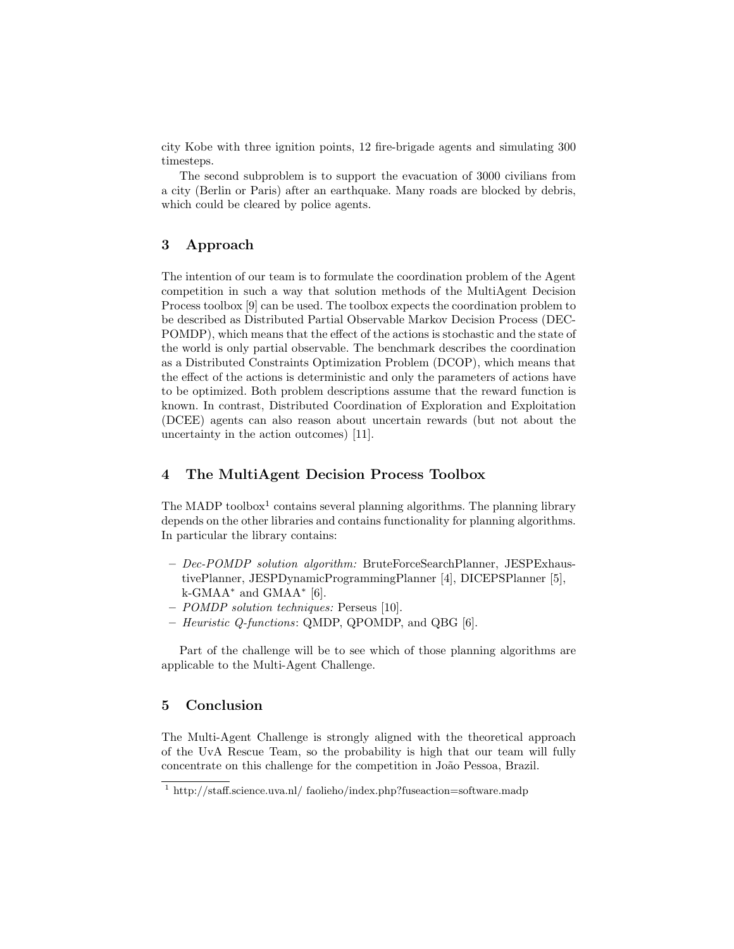city Kobe with three ignition points, 12 fire-brigade agents and simulating 300 timesteps.

The second subproblem is to support the evacuation of 3000 civilians from a city (Berlin or Paris) after an earthquake. Many roads are blocked by debris, which could be cleared by police agents.

## 3 Approach

The intention of our team is to formulate the coordination problem of the Agent competition in such a way that solution methods of the MultiAgent Decision Process toolbox [9] can be used. The toolbox expects the coordination problem to be described as Distributed Partial Observable Markov Decision Process (DEC-POMDP), which means that the effect of the actions is stochastic and the state of the world is only partial observable. The benchmark describes the coordination as a Distributed Constraints Optimization Problem (DCOP), which means that the effect of the actions is deterministic and only the parameters of actions have to be optimized. Both problem descriptions assume that the reward function is known. In contrast, Distributed Coordination of Exploration and Exploitation (DCEE) agents can also reason about uncertain rewards (but not about the uncertainty in the action outcomes) [11].

## 4 The MultiAgent Decision Process Toolbox

The MADP toolbox<sup>1</sup> contains several planning algorithms. The planning library depends on the other libraries and contains functionality for planning algorithms. In particular the library contains:

- Dec-POMDP solution algorithm: BruteForceSearchPlanner, JESPExhaustivePlanner, JESPDynamicProgrammingPlanner [4], DICEPSPlanner [5], k-GMAA<sup>∗</sup> and GMAA<sup>∗</sup> [6].
- POMDP solution techniques: Perseus [10].
- Heuristic Q-functions: QMDP, QPOMDP, and QBG [6].

Part of the challenge will be to see which of those planning algorithms are applicable to the Multi-Agent Challenge.

## 5 Conclusion

The Multi-Agent Challenge is strongly aligned with the theoretical approach of the UvA Rescue Team, so the probability is high that our team will fully concentrate on this challenge for the competition in João Pessoa, Brazil.

<sup>&</sup>lt;sup>1</sup> http://staff.science.uva.nl/ faolieho/index.php?fuseaction=software.madp